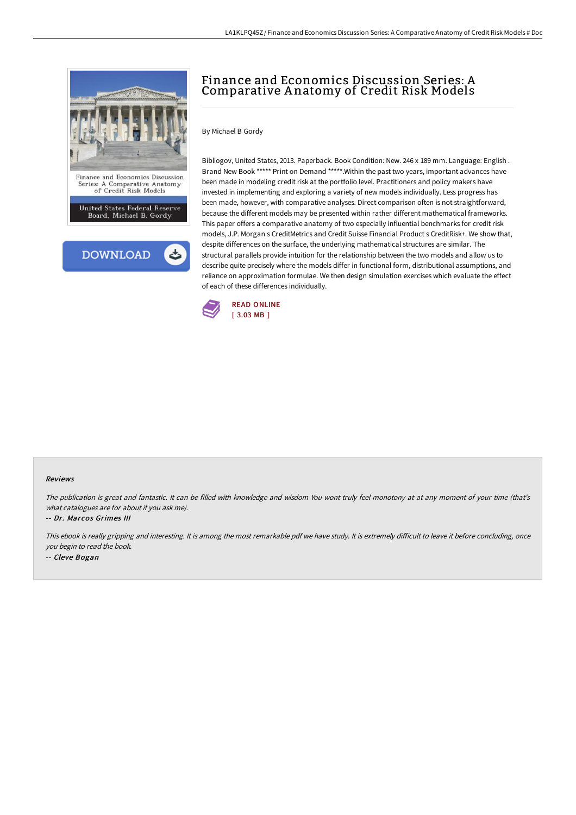



# Finance and Economics Discussion Series: A Comparative A natomy of Credit Risk Models

### By Michael B Gordy

Bibliogov, United States, 2013. Paperback. Book Condition: New. 246 x 189 mm. Language: English . Brand New Book \*\*\*\*\* Print on Demand \*\*\*\*\*.Within the past two years, important advances have been made in modeling credit risk at the portfolio level. Practitioners and policy makers have invested in implementing and exploring a variety of new models individually. Less progress has been made, however, with comparative analyses. Direct comparison often is not straightforward, because the different models may be presented within rather different mathematical frameworks. This paper offers a comparative anatomy of two especially influential benchmarks for credit risk models, J.P. Morgan s CreditMetrics and Credit Suisse Financial Product s CreditRisk+. We show that, despite differences on the surface, the underlying mathematical structures are similar. The structural parallels provide intuition for the relationship between the two models and allow us to describe quite precisely where the models differ in functional form, distributional assumptions, and reliance on approximation formulae. We then design simulation exercises which evaluate the effect of each of these differences individually.



#### Reviews

The publication is great and fantastic. It can be filled with knowledge and wisdom You wont truly feel monotony at at any moment of your time (that's what catalogues are for about if you ask me).

-- Dr. Marcos Grimes III

This ebook is really gripping and interesting. It is among the most remarkable pdf we have study. It is extremely difficult to leave it before concluding, once you begin to read the book. -- Cleve Bogan